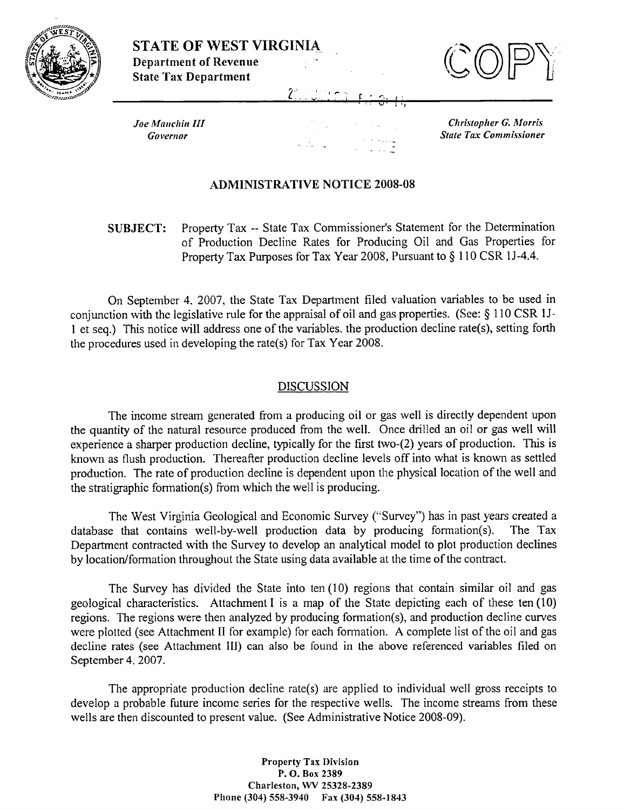

**STATE OF WEST VIRGINIA Department of Revenue State Tax Department** 



v . I **<sup>C</sup>'Q.1 ev I-,** 

*Joe Manchin III* **<b>Christopher G. Morris** *Christopher G. Morris**Governor* **Governor** State Tax Commissioner **State State Tax Commissioner** 

### **ADMINISTRATIVE NOTICE** 2008-08

 $\hat{Z}$ 

**SUBJECT:** Property Tax -- State Tax Commissioner's Statement for the Determination of Production Decline Rates for Producing Oil and Gas Properties for Property Tax Purposes for Tax Year 2008, Pursuant to  $\S 110 \text{CSR } 11-4.4$ .

On September 4, 2007, the State Tax Department filed valuation variables to be used in conjunction with the legislative rule for the appraisal of oil and gas properties. (See: *5* 110 CSR 1 J-1 et seq.) This notice will address one of the variables. the production decline rate(s), setting forth the procedures used in developing the rate(s) for Tax Year 2008.

### DISCUSSION

The income stream generated from a producing oil or gas well is directly dependent upon the quantity of the natural resource produced from the well. Once drilled an oil or gas well will experience **a** sharper production decline, typically for the first two-(2) years of production. This is known as flush production. Thereafter production decline levels off into what is known as settled production. The rate of production decline is dependent upon the physical location of the well and the stratigraphic formation(s) from which the well is producing.

The West Virginia Geological and Economic Survey ("Survey") has in past years created a database that contains well-by-well production data by producing formation(s). The Tax Department contracted with the Survey to develop an analytical model to plot production declines by location/formation throughout the State using data available at the time of the contract.

The Survey has divided the State into ten (10) regions that contain similar oil and gas geological characteristics. Attachment I is a map of the State depicting each of these ten (10) regions. The regions were then analyzed by producing fonnation(s), and production decline curves were plotted (see Attachment II for example) for each formation. A complete list of the oil and gas decline rates (see Attachment III) can also be found in the above referenced variables filed on September 4.2007.

The appropriate production decline rate(s) are applied to individual well gross receipts to develop a probable future income series for the respective wells. The income streams from these wells are then discounted to present value. (See Administrative Notice 2008-09).

> **Property Tax Division**  P. **0. Box** 2389 **Charleston,** \W 15328-2389 **Piione** (304) 558-3940 Fax (304) 558-1843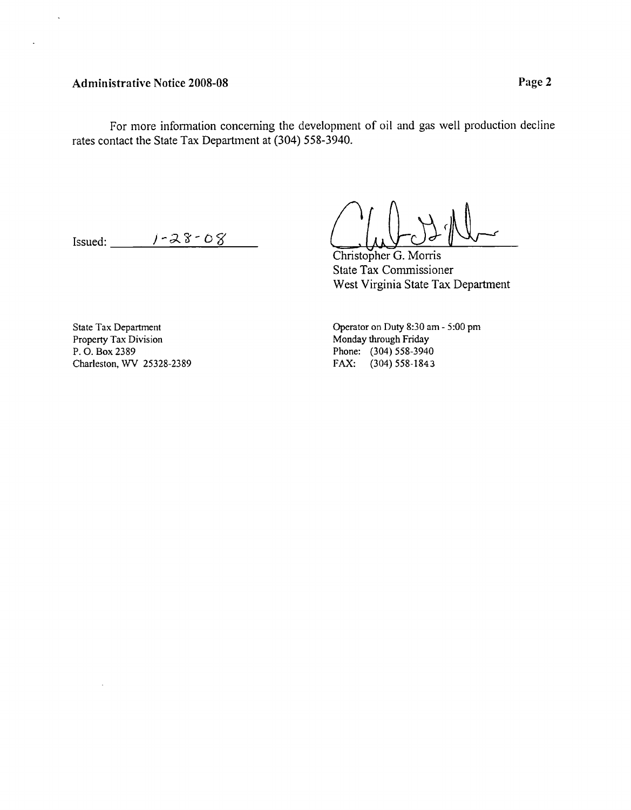$\hat{\mathcal{A}}$ 

 $\ddot{\phantom{a}}$ 

For more information concerning the development of oil and gas well production decline rates contact the State Tax Department at (304) 558-3940.

Issued:  $1 - 28 - 08$ 

Page 2<br>ppment of oil and gas well production decline<br>940.<br>Christopher G. Morris<br>State Tax Commissioner<br>West Virginia State Tax Department<br>Operator on Duty 8:30 am - 5:00 pm<br>Monday through Friday

State Tax Commissioner West Virginia State Tax Department

State Tax Department Property **Tax** Division P. 0. Box 2389 Charleston, WV 25328-2389 Operator on Duty 8:30 am - 5:00 pm Monday through Friday Phone: (304) 558-3940 FAX: (304) 558-1843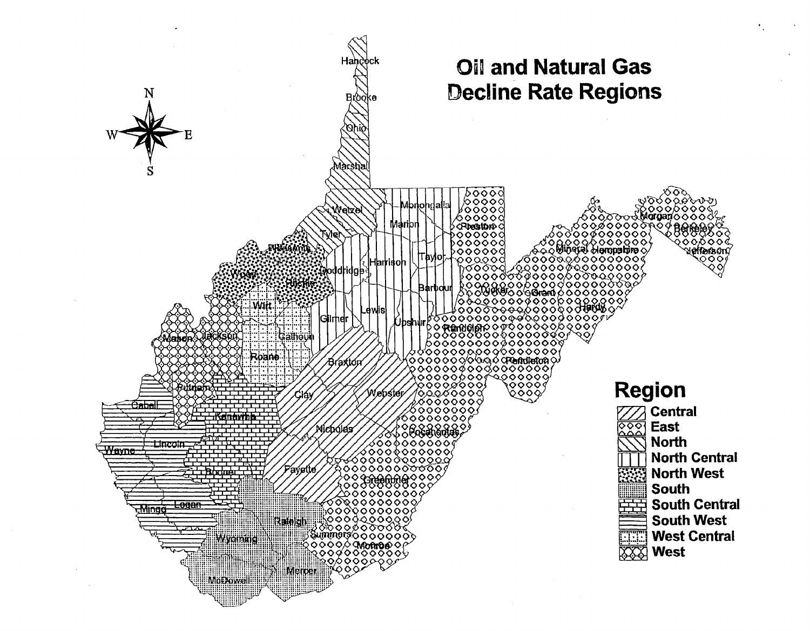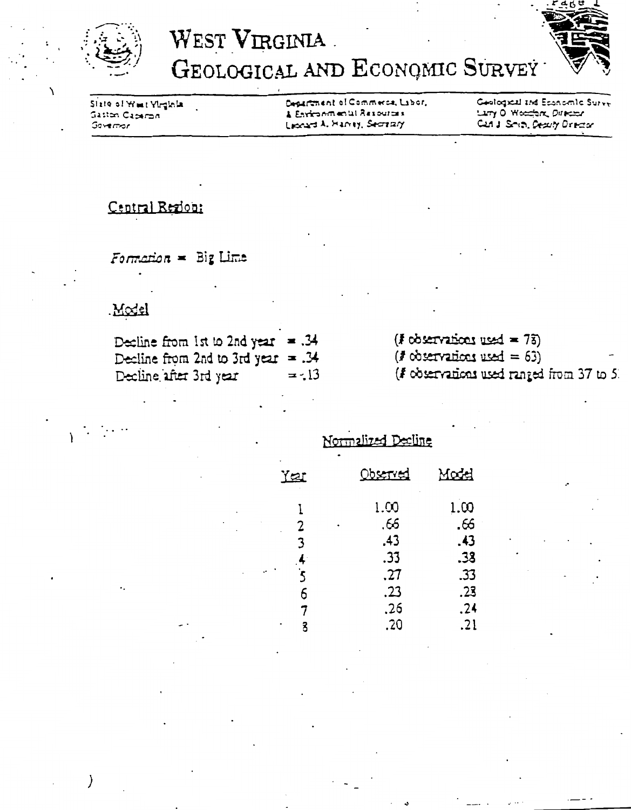

# WEST VIRGINIA. GEOLOGICAL AND ECONOMIC SURVEY

Sizio of West Virginia Gaston Capermin Governor

Department of Commerce, Labor, & Environmental Resources Lionard A. Harvey, Secretary

Gestogscal and Economic Surve Lary O Wessfort, Director Can't Smith, Deputy Oxenary

## Central Region:

Formation =  $Big$  Line

## Model

| Decline from 1st to 2nd year = .34   |         | $(f \circ b)$ servations used = 78)       |
|--------------------------------------|---------|-------------------------------------------|
| Decline from 2nd to 3rd year = $.34$ |         | $(t$ observations used = 63)              |
| Decline after 3rd year               | $= -13$ | (F observations used ranged from 37 to 5) |

Normalized Decline

| Ygr                               | <u>Observed</u>                                       | Model                                                 |
|-----------------------------------|-------------------------------------------------------|-------------------------------------------------------|
| 2<br>3<br>$\frac{4}{5}$<br>6<br>7 | 1.00<br>.66<br>.43<br>.33<br>.27<br>.23<br>.26<br>.20 | 1.00<br>.66<br>.43<br>.38<br>.33<br>.23<br>.24<br>.21 |
|                                   |                                                       |                                                       |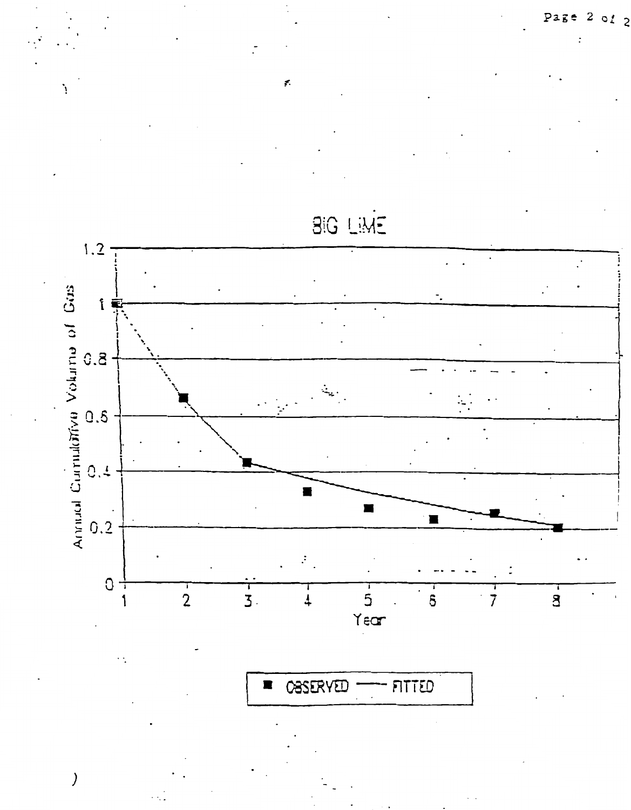

**BIG LIME** 

F.

 $012$ 

 $\mathbf{z}$ 

Page

ENTTED **OBSERVED** ∎

 $\overline{)}$ 

 $\cdot$  :

ŗ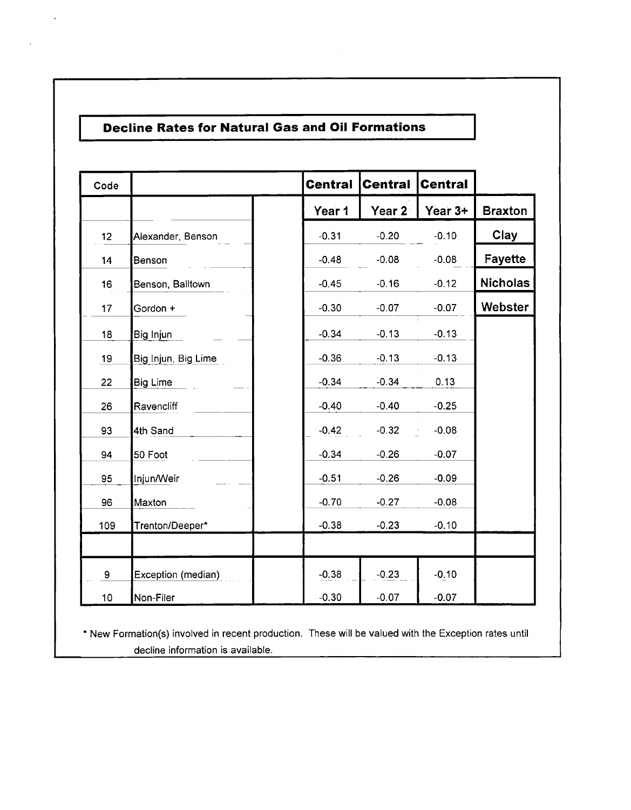$\mathcal{A}$ 

| Code |                     | <b>Central</b> | <b>Central</b> | <b>Central</b> |                |
|------|---------------------|----------------|----------------|----------------|----------------|
|      |                     | Year 1         | Year 2         | Year 3+        | <b>Braxton</b> |
| 12   | Alexander, Benson   | $-0.31$        | $-0.20$        | $-0.10$        | Clay           |
| 14   | Benson              | $-0.48$        | $-0.08$        | $-0.08$        | Fayette        |
| 16   | Benson, Balltown    | $-0.45$        | $-0.16$        | $-0.12$        | Nicholas       |
| 17   | Gordon +            | $-0.30$        | $-0.07$        | $-0.07$        | Webster        |
| 18   | Big Injun           | $-0.34$        | $-0.13$        | $-0.13$        |                |
| 19   | Big Injun, Big Lime | $-0.36$        | $-0.13$        | $-0.13$        |                |
| 22   | <b>Big Lime</b>     | $-0.34$        | $-0.34$        | 0.13           |                |
| 26   | Ravencliff          | $-0.40$        | $-0.40$        | $-0.25$        |                |
| 93   | 4th Sand            | $-0.42$        | $-0.32$        | $-0.08$        |                |
| 94   | 50 Foot             | $-0.34$        | $-0.26$        | $-0.07$        |                |
| 95   | Injun/Weir          | $-0.51$        | $-0.26$        | $-0.09$        |                |
| 96   | Maxton              | $-0.70$        | $-0.27$        | $-0.08$        |                |
| 109  | Trenton/Deeper*     | $-0.38$        | $-0.23$        | $-0.10$        |                |
|      |                     |                |                |                |                |
| 9    | Exception (median)  | $-0.38$        | $-0.23$        | $-0.10$        |                |
| 10   | Non-Filer           | $-0.30$        | $-0.07$        | $-0.07$        |                |

\* New Formation(s) involved in recent production. These will be valued with the Exception rates until decline information is available.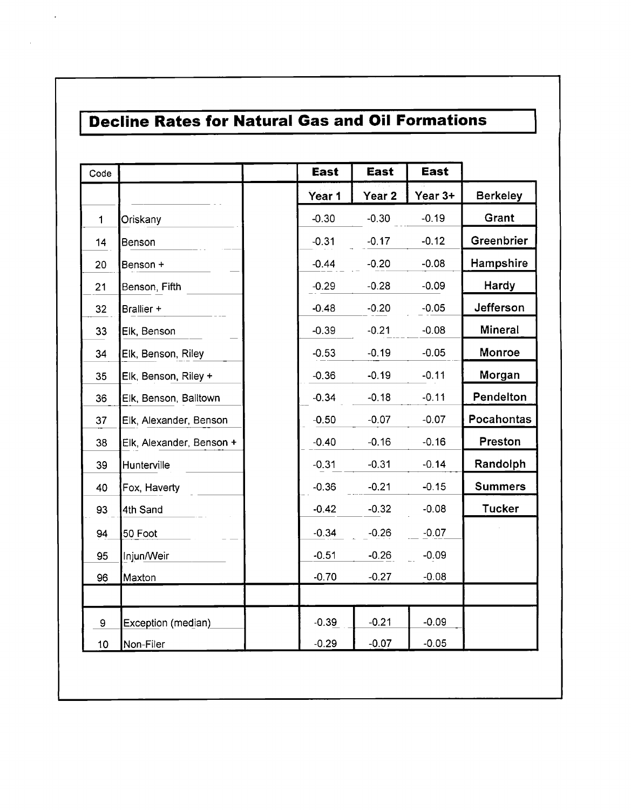| Code |                          | <b>East</b> | <b>East</b>       | <b>East</b> |                 |
|------|--------------------------|-------------|-------------------|-------------|-----------------|
|      |                          | Year 1      | Year <sub>2</sub> | Year 3+     | <b>Berkeley</b> |
| 1    | Oriskany                 | $-0.30$     | $-0.30$           | $-0.19$     | Grant           |
| 14   | Benson                   | $-0.31$     | $-0.17$           | $-0.12$     | Greenbrier      |
| 20   | Benson +                 | $-0.44$     | $-0.20$           | $-0.08$     | Hampshire       |
| 21   | Benson, Fifth            | $-0.29$     | $-0.28$           | $-0.09$     | <b>Hardy</b>    |
| 32   | Brallier +               | $-0.48$     | $-0.20$           | $-0.05$     | Jefferson       |
| 33   | Elk, Benson              | $-0.39$     | $-0.21$           | $-0.08$     | Mineral         |
| 34   | Elk, Benson, Riley       | $-0.53$     | $-0.19$           | $-0.05$     | Monroe          |
| 35   | Elk, Benson, Riley +     | $-0.36$     | $-0.19$           | $-0.11$     | Morgan          |
| 36   | Elk, Benson, Balltown    | $-0.34$     | $-0.18$           | $-0.11$     | Pendelton       |
| 37   | Elk, Alexander, Benson   | $-0.50$     | $-0.07$           | $-0.07$     | Pocahontas      |
| 38   | Elk, Alexander, Benson + | $-0.40$     | $-0.16$           | $-0.16$     | Preston         |
| 39   | Hunterville              | $-0.31$     | $-0.31$           | $-0.14$     | Randolph        |
| 40   | Fox, Haverty             | $-0.36$     | $-0.21$           | $-0.15$     | <b>Summers</b>  |
| 93   | 4th Sand                 | $-0.42$     | $-0.32$           | $-0.08$     | <b>Tucker</b>   |
| 94   | 50 Foot                  | $-0.34$     | $-0.26$           | $-0.07$     |                 |
| 95   | Injun/Weir               | $-0.51$     | $-0.26$           | $-0.09$     |                 |
| 96   | Maxton                   | $-0.70$     | $-0.27$           | $-0.08$     |                 |
|      |                          |             |                   |             |                 |
| 9    | Exception (median)       | $-0.39$     | $-0.21$           | $-0.09$     |                 |
| 10   | Non-Filer                | $-0.29$     | $-0.07$           | $-0.05$     |                 |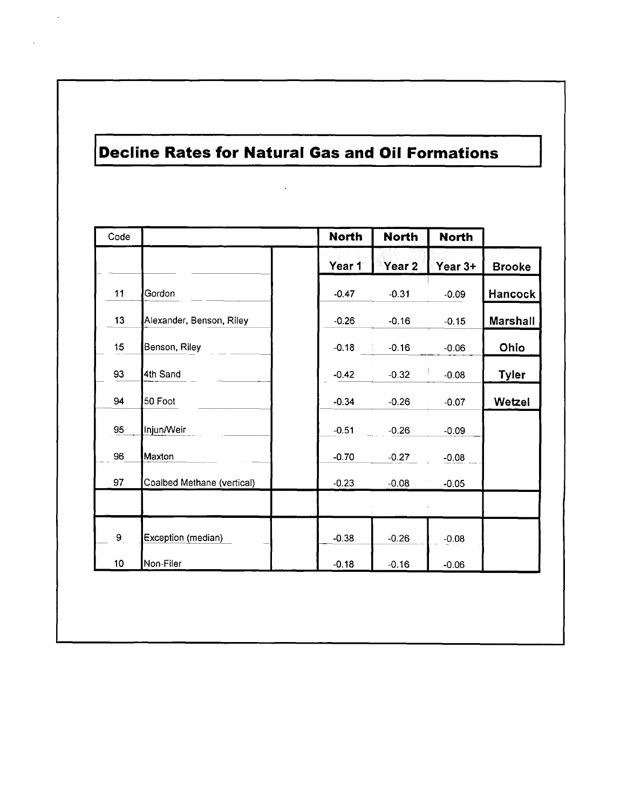$\mathbf{r}$ 

 $\mathbb{R}^2$ 

| Code            |                            | <b>North</b> | <b>North</b>      | <b>North</b> |               |
|-----------------|----------------------------|--------------|-------------------|--------------|---------------|
|                 |                            | Year 1       | Year <sub>2</sub> | Year 3+      | <b>Brooke</b> |
| 11              | Gordon                     | $-0.47$      | $-0.31$           | $-0.09$      | Hancock       |
| 13              | Alexander, Benson, Riley   | $-0.26$      | $-0.16$           | $-0.15$      | Marshall      |
| 15              | Benson, Riley              | $-0.18$      | $-0.16$           | $-0.06$      | Ohio          |
| 93              | 4th Sand                   | $-0.42$      | $-0.32$           | $-0.08$      | <b>Tyler</b>  |
| 94              | 50 Foot                    | $-0.34$      | $-0.26$           | $-0.07$      | Wetzel        |
| 95              | Injun/Weir                 | $-0.51$      | $-0.26$           | $-0.09$      |               |
| 96              | Maxton                     | $-0.70$      | $-0.27$           | $-0.08$      |               |
| 97              | Coalbed Methane (vertical) | $-0.23$      | $-0.08$           | $-0.05$      |               |
|                 |                            |              |                   |              |               |
| 9               | Exception (median)         | $-0.38$      | $-0.26$           | $-0.08$      |               |
| 10 <sub>1</sub> | Non-Filer                  | $-0.18$      | $-0.16$           | $-0.06$      |               |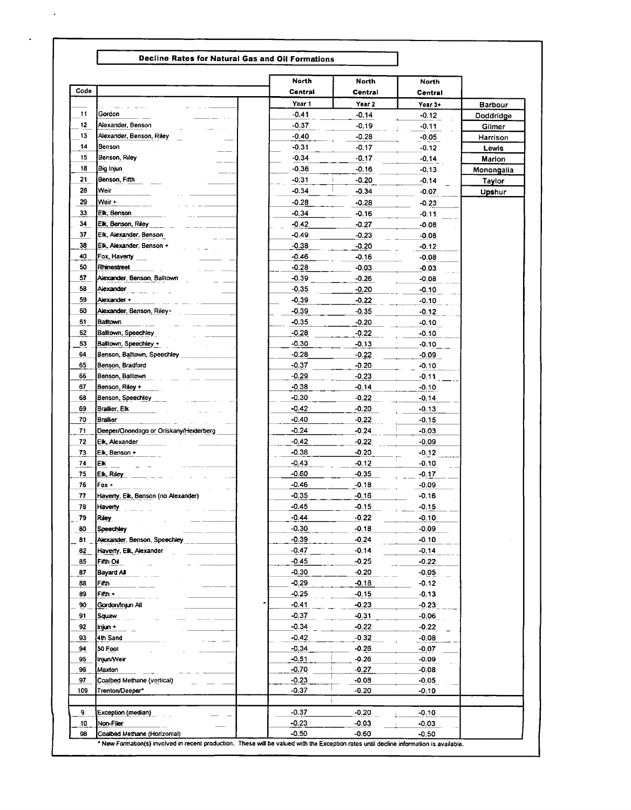l,

|      |                                        | North   | North   | North              |               |
|------|----------------------------------------|---------|---------|--------------------|---------------|
| Code |                                        | Central | Central | Central            |               |
|      |                                        | Year 1  | Year 2  | Year 3+            | Barbour       |
| 11   | Gordon                                 | $-0.41$ | $-0.14$ | $-0.12$            | Doddridge     |
| 12   | Alexander, Benson                      | $-0.37$ | $-0.19$ | $-0.11$            | Gilmer        |
| 13   | Alexander, Benson, Riley               | -0.40   | $-0.28$ | $-0.05$            | Harrison      |
| 14   | Benson                                 | $-0.31$ | $-0.17$ | $-0.12$            | Lewis         |
| 15   | Benson, Riley                          | $-0.34$ | $-0.17$ | $-0.14$            | <b>Marion</b> |
| 18   | Big Injun                              | $-0.36$ | $-0.16$ | $-0.13$            | Monongalia    |
| 21   | Benson, Fifth                          | $-0.31$ | -0.20   | $-0.14$            | Taylor        |
| 28   | Weir                                   | -0.34   | $-0.34$ | -0.07              | Upshur        |
| 29   | Weir +                                 | $-0.28$ | -0.28   | -0.23              |               |
| 33   | Elk, Benson                            | $-0.34$ | $-0.16$ | $-0.11$            |               |
| 34   | Elik, Benson, Riley                    | -0.42   | $-0.27$ | $-0.08$            |               |
| 37   | Elk, Alexander, Benson                 | -0.49   | $-0.23$ | $-0.08$            |               |
| 38   | Elk, Alexander, Benson +               | $-0.38$ | $-0.20$ | $-0.12$            |               |
| 40   | Fox, Haverty                           | $-0.46$ | $-0.16$ | $-0.08$            |               |
| 50   | Rhinestreet                            | $-0.28$ | $-0.03$ | $-0.03$            |               |
| 57   | Alexander, Benson, Balltown            | $-0.39$ | -0.26   | $-0.08$            |               |
| 58   | Alexander                              | $-0.35$ | $-0.20$ | $-0.10$            |               |
| 59   | Alexander +                            | $-0.39$ | $-0.22$ | $-0.10$            |               |
| 60   | Alexander, Benson, Riley+              | $-0.39$ | $-0.35$ | $-0.12$            |               |
| 61   | Balltown                               | $-0.35$ | $-0.20$ | $-0.10$            |               |
| 62   | Balltown, Speechley                    | $-0.28$ | $-0.22$ | $-0.10$            |               |
| 63   | Balltown, Speechley +                  | $-0.30$ | $-0.13$ | $-0.10$            |               |
| 64   | Benson, Balltown, Speechley            | $-0.28$ | $-0.22$ | $-0.09$            |               |
| 65   | Benson, Bradford                       | $-0.37$ | $-0.20$ | -0.10              |               |
| 66   | Benson, Balltown                       | $-0.29$ | $-0.23$ | $-0.11$            |               |
| 67   | Benson, Riley +                        | $-0.38$ | $-0.14$ | $-0.10$            |               |
| 68   | Benson, Speechley                      | $-0.30$ | $-0.22$ | $-0.14$            |               |
| 69   | Brallier, Elk                          | $-0.42$ | $-0.20$ | $-0.13$            |               |
| 70   | <b>Brallier</b>                        | $-0.40$ | $-0.22$ | $-0.15$            |               |
| 71   | Deeper/Onondago or Oriskany/Heiderberg | $-0.24$ | $-0.24$ | $-0.03$            |               |
| 72   | Elk, Alexander                         | $-0.42$ | $-0.22$ | $-0.09$            |               |
| 73   | Elk, Benson +                          | $-0.38$ | -0.20   | $-0.12$            |               |
| 74   | Еk                                     | $-0.43$ | $-0.12$ | $-0.10$            |               |
| 75   | Elk, Riley                             | $-0.60$ | $-0.35$ | $-0.17$            |               |
| 76   | Fox +                                  | $-0.46$ | $-0.18$ | $-0.09$            |               |
| 77   | Haverty, Eik, Benson (no Alexander)    | $-0.35$ | $-0.16$ | -0.16              |               |
| 78   | Haverty                                | $-0.45$ | $-0.15$ | $-0.15$            |               |
| 79   |                                        | $-0.44$ | $-0.22$ |                    |               |
| 80   | Riley                                  | $-0.30$ | -0.18   | $-0.10$<br>$-0.09$ |               |
|      | Speechley                              |         | $-0.24$ |                    |               |
| 81   | Alexander, Benson, Speechley           | $-0.39$ |         | -0.10              |               |
| 82   | Haverty, Elk, Alexander                | $-0.47$ | $-0.14$ | $-0.14$            |               |
| 85   | Fifth Oil                              | $-0.45$ | $-0.25$ | $-0.22$            |               |
| 87   | Bayard All                             | $-0.30$ | $-0.20$ | -0.05              |               |
| 88   | Fifth                                  | $-0.29$ | -0.18   | $-0.12$            |               |
| 89   | Finn +                                 | $-0.25$ | -0.15   | $-0.13$            |               |
| 90   | Gordon/Injun Ail                       | $-0.41$ | $-0.23$ | $-0.23$            |               |
| 91   | Squaw                                  | $-0.37$ | $-0.31$ | $-0.06$            |               |
| 92   | Injun +                                | $-0.34$ | $-0.22$ | $-0.22$            |               |
| 93   | 4th Sand                               | $-0.42$ | $-0.32$ | $-0.08$            |               |
| 94   | 50 Foot                                | $-0.34$ | $-0.26$ | $-0.07$            |               |
| 95   | injun/Weir                             | $-0.51$ | $-0.26$ | -0.09              |               |
| 96   | Maxton                                 | $-0.70$ | -0.27   | -0.08              |               |
| 97   | Coalbed Methane (vertical)             | $-0.23$ | $-0.08$ | $-0.05$            |               |
| 109  | Trenton/Deeper*                        | $-0.37$ | -0.20   | -0.10              |               |
|      |                                        |         |         |                    |               |
| 9    | Exception (median)                     | $-0.37$ | $-0.20$ | -0.10              |               |
| 10   | Non-Filer                              | $-0.23$ | $-0.03$ | $-0.03$            |               |
| 98   | Coalbed Methane (Horizontal)           | -0.50   | $-0.60$ | $-0.50$            |               |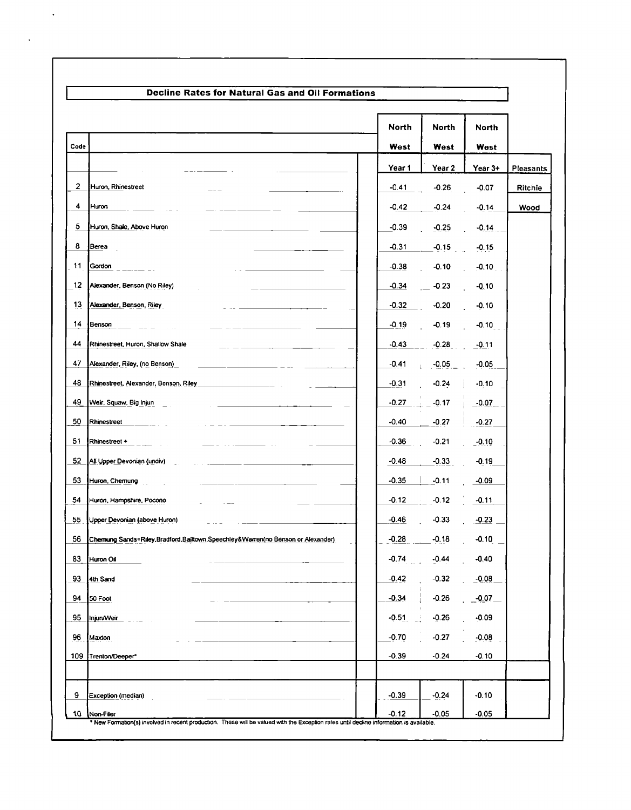| <b>Decline Rates for Natural Gas and Oil Formations</b> |                                                                                                                                                      |         |              |         |           |
|---------------------------------------------------------|------------------------------------------------------------------------------------------------------------------------------------------------------|---------|--------------|---------|-----------|
|                                                         |                                                                                                                                                      | North   | <b>North</b> | North   |           |
| Code                                                    |                                                                                                                                                      | West    | West         | West    |           |
|                                                         |                                                                                                                                                      | Year 1  | Year 2       | Year 3+ | Pleasants |
| 2                                                       | Huron, Rhinestreet                                                                                                                                   | $-0.41$ | $-0.26$      | $-0.07$ | Ritchie   |
| 4                                                       | Huron                                                                                                                                                | $-0.42$ | $-0.24$      | $-0.14$ | Wood      |
| 5                                                       | Huron, Shale, Above Huron                                                                                                                            | $-0.39$ | $-0.25$      | $-0.14$ |           |
| 8                                                       | Berea                                                                                                                                                | $-0.31$ | $-0.15$      | $-0.15$ |           |
| 11                                                      | Gordon                                                                                                                                               | $-0.38$ | $-0.10$      | $-0.10$ |           |
| 12                                                      | Alexander, Benson (No Riley)                                                                                                                         | $-0.34$ | $-0.23$      | $-0.10$ |           |
| 13                                                      | Alexander, Benson, Riley                                                                                                                             | $-0.32$ | $-0.20$      | $-0.10$ |           |
| 14                                                      | Benson                                                                                                                                               | $-0.19$ | $-0.19$      | $-0.10$ |           |
| 44                                                      | Rhinestreet, Huron, Shallow Shale                                                                                                                    | $-0.43$ | $-0.28$      | $-0.11$ |           |
| 47                                                      | Alexander, Riley, (no Benson)                                                                                                                        | $-0.41$ | $-0.05$      | $-0.05$ |           |
| 48                                                      | Rhinestreet, Alexander, Benson, Riley                                                                                                                | $-0.31$ | $-0.24$      | $-0.10$ |           |
| 49                                                      | Weir, Squaw, Big Injun                                                                                                                               | $-0.27$ | $-0.17$      | $-0.07$ |           |
| 50                                                      | Rhinestreet                                                                                                                                          | $-0.40$ | $-0.27$      | $-0.27$ |           |
| 51                                                      | Rhinestreet +                                                                                                                                        | -0.36   | $-0.21$      | $-0.10$ |           |
| 52                                                      | All Upper Devonian (undiv)                                                                                                                           | $-0.48$ | $-0.33$      | $-0.19$ |           |
| 53                                                      | Huron, Chemung                                                                                                                                       | $-0.35$ | $-0.11$      | $-0.09$ |           |
| 54                                                      | Huron, Hampshire, Pocono                                                                                                                             | $-0.12$ | $-0.12$      | $-0.11$ |           |
| 55                                                      | Upper Devonian (above Huron)                                                                                                                         | $-0.46$ | $-0.33$      | $-0.23$ |           |
| 56                                                      | Chemung Sands=Riley, Bradford, Bailtown, Speechley&Warren (no Benson or Alexander)                                                                   | $-0.28$ | $-0.18$      | $-0.10$ |           |
| 83                                                      | Huron Oil                                                                                                                                            | $-0.74$ | $-0.44$      | $-0.40$ |           |
| 93                                                      | 4th Sand                                                                                                                                             | $-0.42$ | $-0.32$      | $-0.08$ |           |
| 94                                                      | 50 Foot                                                                                                                                              | $-0.34$ | $-0.26$      | $-0.07$ |           |
| 95                                                      | Injun/Weir                                                                                                                                           | $-0.51$ | $-0.26$      | $-0.09$ |           |
| 96                                                      | Maxton                                                                                                                                               | $-0.70$ | $-0.27$      | $-0.08$ |           |
|                                                         | 109 Trenton/Deeper*                                                                                                                                  | $-0.39$ | $-0.24$      | $-0.10$ |           |
| 9                                                       | Exception (median)                                                                                                                                   | $-0.39$ | $-0.24$      | $-0.10$ |           |
| 10                                                      | Non-Filer<br>* New Formation(s) involved in recent production. These will be valued with the Exception rates until decline information is available. | $-0.12$ | $-0.05$      | $-0.05$ |           |

 $\ddot{\phantom{1}}$ 

 $\ddot{\phantom{0}}$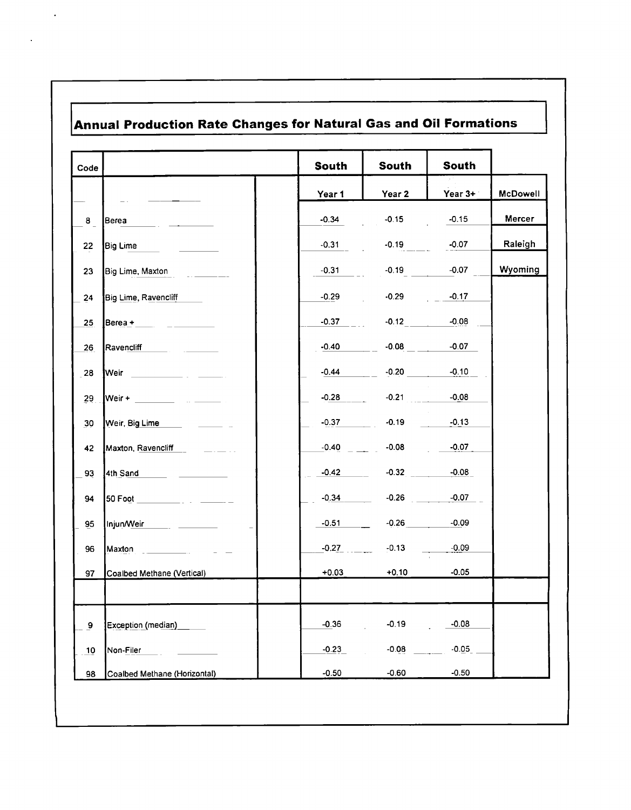## Annual Production Rate Changes for Natural Gas and Oil Formations

| Code     |                                                          | <b>South</b>            | <b>South</b> | <b>South</b> |          |
|----------|----------------------------------------------------------|-------------------------|--------------|--------------|----------|
|          |                                                          | Year 1                  | Year 2       | Year $3+$    | McDowell |
| $\bf{8}$ | Berea                                                    | $-0.34$                 | $-0.15$      | $-0.15$      | Mercer   |
| 22       | Big Lime                                                 | $-0.31$                 | $-0.19$      | $-0.07$      | Raleigh  |
| 23       | Big Lime, Maxton                                         | $-0.31$                 | $-0.19$      | $-0.07$      | Wyoming  |
| 24       | Big Lime, Ravencliff                                     | $-0.29$                 | $-0.29$      | $-0.17$      |          |
| 25       | Berea +                                                  | $-0.37$                 | $-0.12$      | $-0.08$      |          |
| 26       | Ravencliff                                               | $-0.40$                 | $-0.08$      | $-0.07$      |          |
| 28       | Weir<br><u> 1999 - Andrea Steinberg, Amerikaansk kon</u> | $-0.44$                 |              | $-0.10$      |          |
| 29       |                                                          | $-0.28$                 | $-0.21$      | $-0.08$      |          |
| 30       | Weir, Big Lime                                           | $-0.37$                 | $-0.19$      | $-0.13$      |          |
| 42       | Maxton, Ravencliff                                       | $-0.40$                 | $-0.08$      | $-0.07$      |          |
| 93       | 4th Sand                                                 | $-0.42$                 | $-0.32$      | $-0.08$      |          |
| 94       |                                                          | $-0.34$                 | $-0.26$      | $-0.07$      |          |
| 95       | Injun/Weir                                               | $-0.51$ $\qquad \qquad$ | $-0.26$      | $-0.09$      |          |
| 96       | Maxton Maxton                                            | $-0.27$                 | $-0.13$      | $-0.09$      |          |
| 97       | Coalbed Methane (Vertical)                               | $+0.03$                 |              | $-0.05$      |          |
| 9        | Exception (median)                                       | $-0.36$                 | $-0.19$      | $-0.08$      |          |
| 10       | Non-Filer                                                | $-0.23$                 | $-0.08$      | $-0.05$      |          |
| 98       | Coalbed Methane (Horizontal)                             | $-0.50$                 | $-0.60$      | $-0.50$      |          |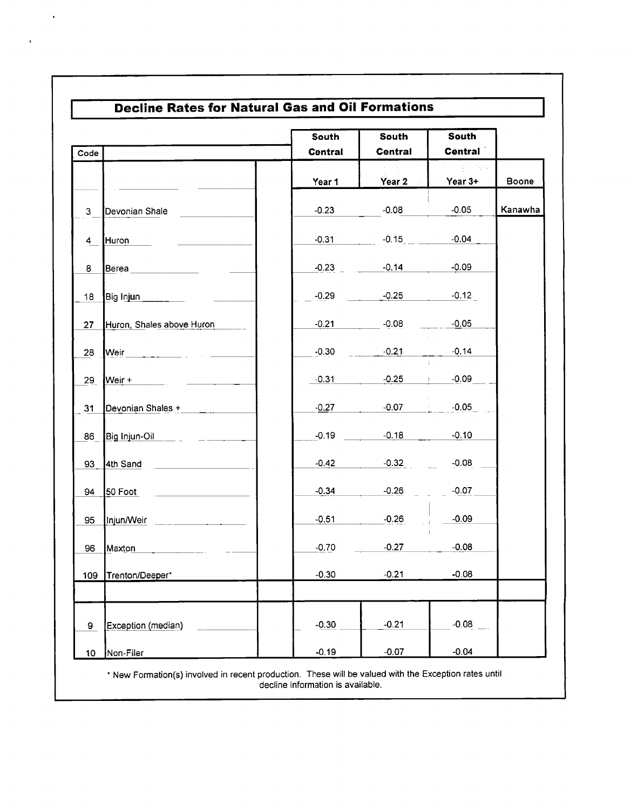| Code |                              | South<br><b>Central</b> | <b>South</b><br>Central | South<br><b>Central</b> |              |
|------|------------------------------|-------------------------|-------------------------|-------------------------|--------------|
|      |                              | Year 1                  | Year 2                  | Year 3+                 | <b>Boone</b> |
| 3    | Devonian Shale               | $-0.23$                 | $-0.08$                 | $-0.05$                 | Kanawha      |
| 4    | Huron                        | $-0.31$                 | $-0.15$                 | $-0.04$                 |              |
| 8    | Berea                        | $-0.23$                 | $-0.14$ $-0.09$         |                         |              |
| 18   | Big Injun                    |                         | $-0.29$ $-0.25$         | $-0.12$                 |              |
| 27   | Huron, Shales above Huron    |                         | $-0.21$ $-0.08$         | $-0.05$                 |              |
| 28   | Weir                         | $-0.30$                 | $-0.21$                 | $-0.14$                 |              |
| 29   | $Weir +$                     | $-0.31$                 | $-0.25$ $-0.09$         |                         |              |
| 31   | Devonian Shales +            | $-0.27$                 | $-0.07$ $1$             | $-0.05$                 |              |
| 86   | Big Injun-Oil                |                         | $-0.19$ $-0.18$         | $-0.10$                 |              |
| 93   | 4th Sand                     | $-0.42$                 | $-0.32$                 | $-0.08$                 |              |
| 94   | 50 Foot                      | $-0.34$                 | $-0.26$                 | $-0.07$                 |              |
| 95   | $\ln \frac{1}{2}$ lnjun/Weir | $-0.51$                 | $-0.26$                 | $-0.09$                 |              |
| 96   | Maxton                       | $-0.70$                 | $-0.27$                 | $-0.08$                 |              |
| 109  | Trenton/Deeper*              | $-0.30$                 | $-0.21$                 | $-0.08$                 |              |
| 9    | Exception (median)           | $-0.30$                 | $-0.21$                 | $-0.08$                 |              |
| 10   | Non-Filer                    | $-0.19$                 | $-0.07$                 | $-0.04$                 |              |

÷

 $\mathcal{L}^{\text{max}}_{\text{max}}$  ,  $\mathcal{L}^{\text{max}}_{\text{max}}$ 

 $\mathcal{A}^{\mathrm{c}}$  and

decline information is available.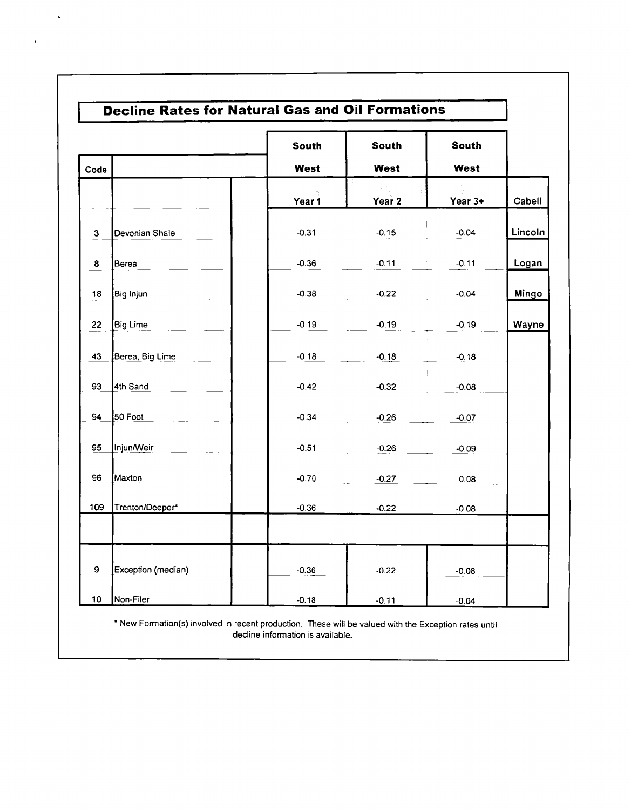| Code                                        | South<br>West | <b>South</b><br>West | South<br>West |         |
|---------------------------------------------|---------------|----------------------|---------------|---------|
|                                             | Year 1        | Year 2               | Year 3+       | Cabell  |
| Devonian Shale<br>$\ensuremath{\mathsf{3}}$ | $-0.31$       | $-0.15$              | $-0.04$       | Lincoln |
| 8<br>Berea                                  | $-0.36$       | $-0.11$              | ÷,<br>$-0.11$ | Logan   |
| 18<br>Big Injun                             | $-0.38$       | $-0.22$              | $-0.04$       | Mingo   |
| 22<br>Big Lime                              | $-0.19$       | $-0.19$              | $-0.19$       | Wayne   |
| 43<br>Berea, Big Lime                       | $-0.18$       | $-0.18$              | $-0.18$       |         |
| 93<br>4th Sand                              | $-0.42$       | $-0.32$              | $-0.08$       |         |
| 94<br>50 Foot                               | $-0.34$       | $-0.26$              | $-0.07$       |         |
| 95<br>Injun/Weir                            | $-0.51$       | $-0.26$              | $-0.09$       |         |
| 96<br>Maxton                                | $-0.70$       | $-0.27$              | $-0.08$       |         |
| 109<br>Trenton/Deeper*                      | $-0.36$       | $-0.22$              | $-0.08$       |         |
| 9<br>Exception (median)                     | $-0.36$       | $-0.22$              | $-0.08$       |         |
| 10<br>Non-Filer                             | $-0.18$       | $-0.11$              | $-0.04$       |         |

 $\Delta$ 

 $\ddot{\phantom{a}}$ 

\* New Formation(s) involved in recent production. These will be valued with the Exception rates until<br>decline information is available.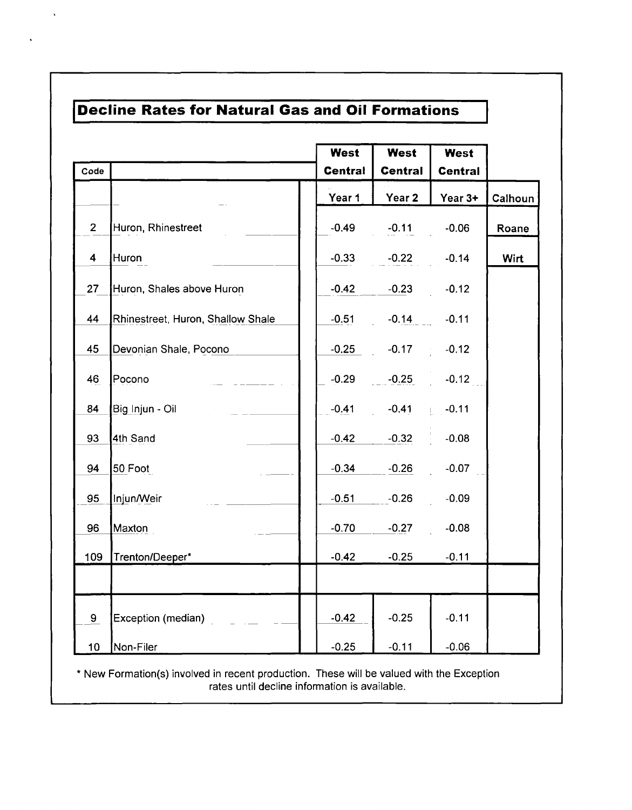| Code             |                                   | <b>West</b><br><b>Central</b> | <b>West</b><br><b>Central</b> | <b>West</b><br><b>Central</b> |             |
|------------------|-----------------------------------|-------------------------------|-------------------------------|-------------------------------|-------------|
|                  |                                   | Year 1                        | Year 2                        | Year 3+                       | Calhoun     |
| $\overline{2}$   | Huron, Rhinestreet                | $-0.49$                       | $-0.11$                       | $-0.06$                       | Roane       |
| $\boldsymbol{4}$ | Huron                             | $-0.33$                       | $-0.22$                       | $-0.14$                       | <b>Wirt</b> |
| 27               | Huron, Shales above Huron         | $-0.42$                       | $-0.23$                       | $-0.12$                       |             |
| 44               | Rhinestreet, Huron, Shallow Shale | $-0.51$                       | $-0.14$                       | $-0.11$                       |             |
| 45               | Devonian Shale, Pocono            | $-0.25$                       | $-0.17$                       | $-0.12$                       |             |
| 46               | Pocono                            | $-0.29$                       | $-0.25$                       | $-0.12$                       |             |
| 84               | Big Injun - Oil                   | $-0.41$                       | $-0.41$                       | $-0.11$                       |             |
| 93               | 4th Sand                          | $-0.42$                       | $-0.32$                       | $-0.08$                       |             |
| 94               | 50 Foot                           | $-0.34$                       | $-0.26$                       | $-0.07$                       |             |
| 95               | Injun/Weir                        | $-0.51$                       | $-0.26$                       | $-0.09$                       |             |
| 96               | Maxton                            | $-0.70$                       | $-0.27$                       | $-0.08$                       |             |
| 109              | Trenton/Deeper*                   | $-0.42$                       | $-0.25$                       | $-0.11$                       |             |
|                  |                                   |                               |                               |                               |             |
| 9                | Exception (median)                | $-0.42$                       | $-0.25$                       | $-0.11$                       |             |
| 10 <sub>1</sub>  | Non-Filer                         | $-0.25$                       | $-0.11$                       | $-0.06$                       |             |

 $\ddot{\phantom{a}}$ 

 $\ddot{\phantom{0}}$ 

\* New Formation(s) involved in recent production. These will be valued with the Exception rates until decline information is available.